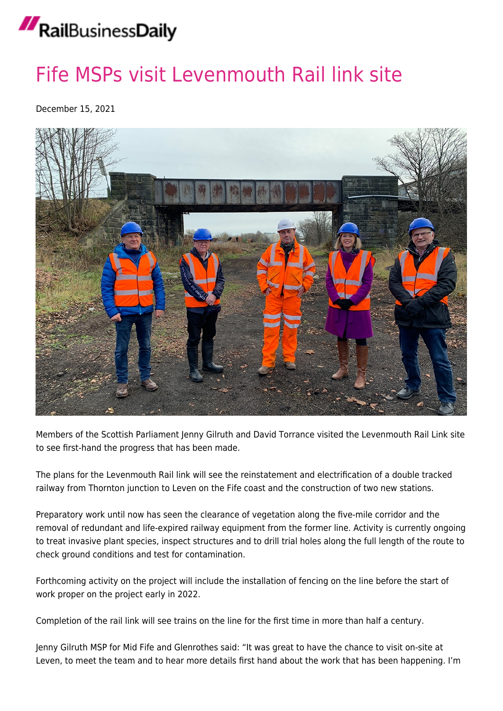# RailBusinessDaily

### [Fife MSPs visit Levenmouth Rail link site](https://news.railbusinessdaily.com/fife-msps-visit-levenmouth-rail-link-site/)

December 15, 2021



Members of the Scottish Parliament Jenny Gilruth and David Torrance visited the Levenmouth Rail Link site to see first-hand the progress that has been made.

The plans for the Levenmouth Rail link will see the reinstatement and electrification of a double tracked railway from Thornton junction to Leven on the Fife coast and the construction of two new stations.

Preparatory work until now has seen the clearance of vegetation along the five-mile corridor and the removal of redundant and life-expired railway equipment from the former line. Activity is currently ongoing to treat invasive plant species, inspect structures and to drill trial holes along the full length of the route to check ground conditions and test for contamination.

Forthcoming activity on the project will include the installation of fencing on the line before the start of work proper on the project early in 2022.

Completion of the rail link will see trains on the line for the first time in more than half a century.

Jenny Gilruth MSP for Mid Fife and Glenrothes said: "It was great to have the chance to visit on-site at Leven, to meet the team and to hear more details first hand about the work that has been happening. I'm